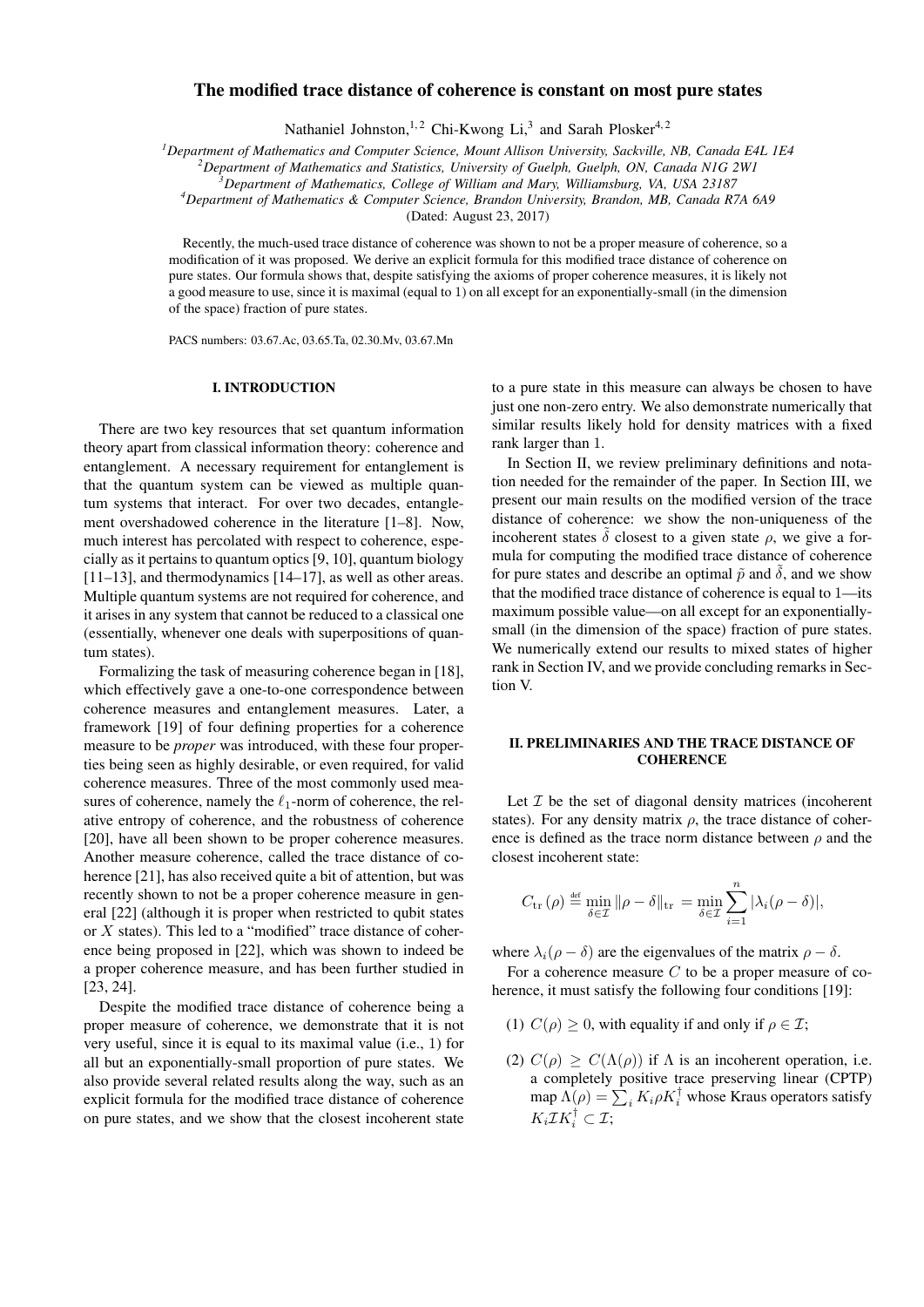# The modified trace distance of coherence is constant on most pure states

Nathaniel Johnston,<sup>1,2</sup> Chi-Kwong Li,<sup>3</sup> and Sarah Plosker<sup>4,2</sup>

*<sup>1</sup>Department of Mathematics and Computer Science, Mount Allison University, Sackville, NB, Canada E4L 1E4*

*<sup>2</sup>Department of Mathematics and Statistics, University of Guelph, Guelph, ON, Canada N1G 2W1*

*<sup>3</sup>Department of Mathematics, College of William and Mary, Williamsburg, VA, USA 23187*

*<sup>4</sup>Department of Mathematics & Computer Science, Brandon University, Brandon, MB, Canada R7A 6A9*

(Dated: August 23, 2017)

Recently, the much-used trace distance of coherence was shown to not be a proper measure of coherence, so a modification of it was proposed. We derive an explicit formula for this modified trace distance of coherence on pure states. Our formula shows that, despite satisfying the axioms of proper coherence measures, it is likely not a good measure to use, since it is maximal (equal to 1) on all except for an exponentially-small (in the dimension of the space) fraction of pure states.

PACS numbers: 03.67.Ac, 03.65.Ta, 02.30.Mv, 03.67.Mn

### I. INTRODUCTION

There are two key resources that set quantum information theory apart from classical information theory: coherence and entanglement. A necessary requirement for entanglement is that the quantum system can be viewed as multiple quantum systems that interact. For over two decades, entanglement overshadowed coherence in the literature [1–8]. Now, much interest has percolated with respect to coherence, especially as it pertains to quantum optics [9, 10], quantum biology [11–13], and thermodynamics [14–17], as well as other areas. Multiple quantum systems are not required for coherence, and it arises in any system that cannot be reduced to a classical one (essentially, whenever one deals with superpositions of quantum states).

Formalizing the task of measuring coherence began in [18], which effectively gave a one-to-one correspondence between coherence measures and entanglement measures. Later, a framework [19] of four defining properties for a coherence measure to be *proper* was introduced, with these four properties being seen as highly desirable, or even required, for valid coherence measures. Three of the most commonly used measures of coherence, namely the  $\ell_1$ -norm of coherence, the relative entropy of coherence, and the robustness of coherence [20], have all been shown to be proper coherence measures. Another measure coherence, called the trace distance of coherence [21], has also received quite a bit of attention, but was recently shown to not be a proper coherence measure in general [22] (although it is proper when restricted to qubit states or X states). This led to a "modified" trace distance of coherence being proposed in [22], which was shown to indeed be a proper coherence measure, and has been further studied in [23, 24].

Despite the modified trace distance of coherence being a proper measure of coherence, we demonstrate that it is not very useful, since it is equal to its maximal value (i.e., 1) for all but an exponentially-small proportion of pure states. We also provide several related results along the way, such as an explicit formula for the modified trace distance of coherence on pure states, and we show that the closest incoherent state to a pure state in this measure can always be chosen to have just one non-zero entry. We also demonstrate numerically that similar results likely hold for density matrices with a fixed rank larger than 1.

In Section II, we review preliminary definitions and notation needed for the remainder of the paper. In Section III, we present our main results on the modified version of the trace distance of coherence: we show the non-uniqueness of the incoherent states  $\tilde{\delta}$  closest to a given state  $\rho$ , we give a formula for computing the modified trace distance of coherence for pure states and describe an optimal  $\tilde{p}$  and  $\tilde{\delta}$ , and we show that the modified trace distance of coherence is equal to 1—its maximum possible value—on all except for an exponentiallysmall (in the dimension of the space) fraction of pure states. We numerically extend our results to mixed states of higher rank in Section IV, and we provide concluding remarks in Section V.

## II. PRELIMINARIES AND THE TRACE DISTANCE OF **COHERENCE**

Let  $I$  be the set of diagonal density matrices (incoherent states). For any density matrix  $\rho$ , the trace distance of coherence is defined as the trace norm distance between  $\rho$  and the closest incoherent state:

$$
C_{\text{tr}}(\rho) \stackrel{\text{def}}{=} \min_{\delta \in \mathcal{I}} \|\rho - \delta\|_{\text{tr}} = \min_{\delta \in \mathcal{I}} \sum_{i=1}^{n} |\lambda_i(\rho - \delta)|,
$$

where  $\lambda_i(\rho - \delta)$  are the eigenvalues of the matrix  $\rho - \delta$ .

For a coherence measure  $C$  to be a proper measure of coherence, it must satisfy the following four conditions [19]:

- (1)  $C(\rho) \geq 0$ , with equality if and only if  $\rho \in \mathcal{I}$ ;
- (2)  $C(\rho) \geq C(\Lambda(\rho))$  if  $\Lambda$  is an incoherent operation, i.e. a completely positive trace preserving linear (CPTP) map  $\Lambda(\rho) = \sum_i K_i \rho K_i^{\dagger}$  whose Kraus operators satisfy  $K_i \mathcal{I} K_i^{\dagger} \subset \mathcal{I};$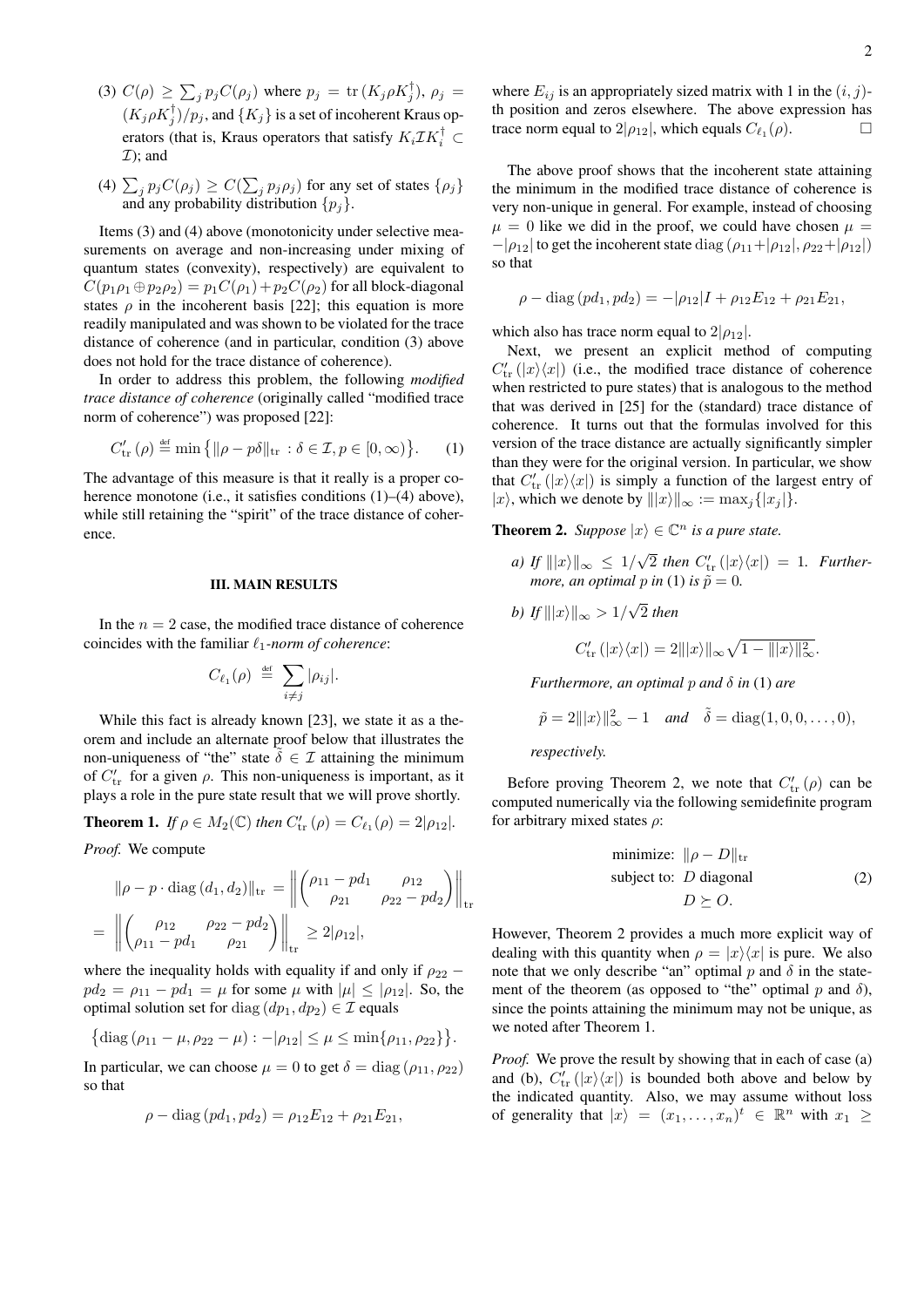- (3)  $C(\rho) \ge \sum_j p_j C(\rho_j)$  where  $p_j = \text{tr}(K_j \rho K_j^{\dagger}), \rho_j =$  $(K_j \rho K_j^{\dagger})/p_j$ , and  $\{K_j\}$  is a set of incoherent Kraus operators (that is, Kraus operators that satisfy  $K_i \mathcal{I} K_i^{\dagger} \subset$  $\mathcal{I}$ ); and
- (4)  $\sum_j p_j C(\rho_j) \geq C(\sum_j p_j \rho_j)$  for any set of states  $\{\rho_j\}$ and any probability distribution  $\{p_j\}$ .

Items (3) and (4) above (monotonicity under selective measurements on average and non-increasing under mixing of quantum states (convexity), respectively) are equivalent to  $C(p_1\rho_1 \oplus p_2\rho_2) = p_1C(\rho_1) + p_2C(\rho_2)$  for all block-diagonal states  $\rho$  in the incoherent basis [22]; this equation is more readily manipulated and was shown to be violated for the trace distance of coherence (and in particular, condition (3) above does not hold for the trace distance of coherence).

In order to address this problem, the following *modified trace distance of coherence* (originally called "modified trace norm of coherence") was proposed [22]:

$$
C'_{\text{tr}}(\rho) \stackrel{\text{def}}{=} \min \{ \|\rho - p\delta\|_{\text{tr}} : \delta \in \mathcal{I}, p \in [0, \infty) \}.
$$
 (1)

The advantage of this measure is that it really is a proper coherence monotone (i.e., it satisfies conditions (1)–(4) above), while still retaining the "spirit" of the trace distance of coherence.

### III. MAIN RESULTS

In the  $n = 2$  case, the modified trace distance of coherence coincides with the familiar  $\ell_1$ -norm of coherence:

$$
C_{\ell_1}(\rho) \stackrel{\text{\tiny def}}{=} \sum_{i \neq j} |\rho_{ij}|.
$$

While this fact is already known [23], we state it as a theorem and include an alternate proof below that illustrates the non-uniqueness of "the" state  $\tilde{\delta} \in \mathcal{I}$  attaining the minimum of  $C'_{tr}$  for a given  $\rho$ . This non-uniqueness is important, as it plays a role in the pure state result that we will prove shortly.

**Theorem 1.** *If*  $\rho \in M_2(\mathbb{C})$  *then*  $C'_{\text{tr}}(\rho) = C_{\ell_1}(\rho) = 2|\rho_{12}|$ *.* 

*Proof.* We compute

$$
\|\rho - p \cdot \text{diag}(d_1, d_2)\|_{\text{tr}} = \left\| \begin{pmatrix} \rho_{11} - pd_1 & \rho_{12} \\ \rho_{21} & \rho_{22} - pd_2 \end{pmatrix} \right\|_{\text{tr}}
$$

$$
= \left\| \begin{pmatrix} \rho_{12} & \rho_{22} - pd_2 \\ \rho_{11} - pd_1 & \rho_{21} \end{pmatrix} \right\|_{\text{tr}} \ge 2|\rho_{12}|,
$$

where the inequality holds with equality if and only if  $\rho_{22}$  −  $pd_2 = \rho_{11} - pd_1 = \mu$  for some  $\mu$  with  $|\mu| \leq |\rho_{12}|$ . So, the optimal solution set for diag  $(dp_1, dp_2) \in \mathcal{I}$  equals

$$
\left\{\text{diag}\left(\rho_{11}-\mu,\rho_{22}-\mu\right): -|\rho_{12}| \leq \mu \leq \min\{\rho_{11},\rho_{22}\}\right\}.
$$

In particular, we can choose  $\mu = 0$  to get  $\delta = \text{diag}(\rho_{11}, \rho_{22})$ so that

$$
\rho - \text{diag}(pd_1, pd_2) = \rho_{12} E_{12} + \rho_{21} E_{21},
$$

where  $E_{ij}$  is an appropriately sized matrix with 1 in the  $(i, j)$ th position and zeros elsewhere. The above expression has trace norm equal to  $2|\rho_{12}|$ , which equals  $C_{\ell_1}(\rho)$ .

The above proof shows that the incoherent state attaining the minimum in the modified trace distance of coherence is very non-unique in general. For example, instead of choosing  $\mu = 0$  like we did in the proof, we could have chosen  $\mu =$  $-|\rho_{12}|$  to get the incoherent state diag  $(\rho_{11}+|\rho_{12}|, \rho_{22}+|\rho_{12}|)$ so that

$$
\rho - \text{diag}(pd_1, pd_2) = -|\rho_{12}|I + \rho_{12}E_{12} + \rho_{21}E_{21},
$$

which also has trace norm equal to  $2|\rho_{12}|$ .

Next, we present an explicit method of computing  $C'_{tr}(|x\rangle\langle x|)$  (i.e., the modified trace distance of coherence when restricted to pure states) that is analogous to the method that was derived in [25] for the (standard) trace distance of coherence. It turns out that the formulas involved for this version of the trace distance are actually significantly simpler than they were for the original version. In particular, we show that  $C'_{tr}(|x\rangle\langle x|)$  is simply a function of the largest entry of  $|x\rangle$ , which we denote by  $|||x\rangle||_{\infty} := \max_{j} { |x_j| }$ .

**Theorem 2.** *Suppose*  $|x\rangle \in \mathbb{C}^n$  *is a pure state.* 

*a) If*  $||x\rangle||_{\infty} \leq 1/$ √  $\overline{2}$  then  $C'_{tr}(|x\rangle\langle x|) = 1$ . Further*more, an optimal p in* (1) *is*  $\tilde{p} = 0$ *.* 

b) If 
$$
|||x\rangle||_{\infty} > 1/\sqrt{2}
$$
 then

$$
C'_{\text{tr}}\left(|x\rangle\langle x|\right) = 2|||x\rangle||_{\infty}\sqrt{1 - |||x\rangle||_{\infty}^2}.
$$

*Furthermore, an optimal* p *and* δ *in* (1) *are*

$$
\tilde{p} = 2|||x\rangle||_{\infty}^{2} - 1
$$
 and  $\tilde{\delta} = diag(1, 0, 0, \dots, 0),$ 

*respectively.*

Before proving Theorem 2, we note that  $C'_{tr}(\rho)$  can be computed numerically via the following semidefinite program for arbitrary mixed states  $\rho$ :

minimize: 
$$
||\rho - D||_{\text{tr}}
$$
  
subject to: *D* diagonal  
 $D \succeq O$ . (2)

However, Theorem 2 provides a much more explicit way of dealing with this quantity when  $\rho = |x\rangle\langle x|$  is pure. We also note that we only describe "an" optimal  $p$  and  $\delta$  in the statement of the theorem (as opposed to "the" optimal  $p$  and  $\delta$ ), since the points attaining the minimum may not be unique, as we noted after Theorem 1.

*Proof.* We prove the result by showing that in each of case (a) and (b),  $C'_{tr}(|x\rangle\langle x|)$  is bounded both above and below by the indicated quantity. Also, we may assume without loss of generality that  $|x\rangle = (x_1, \ldots, x_n)^t \in \mathbb{R}^n$  with  $x_1 \geq$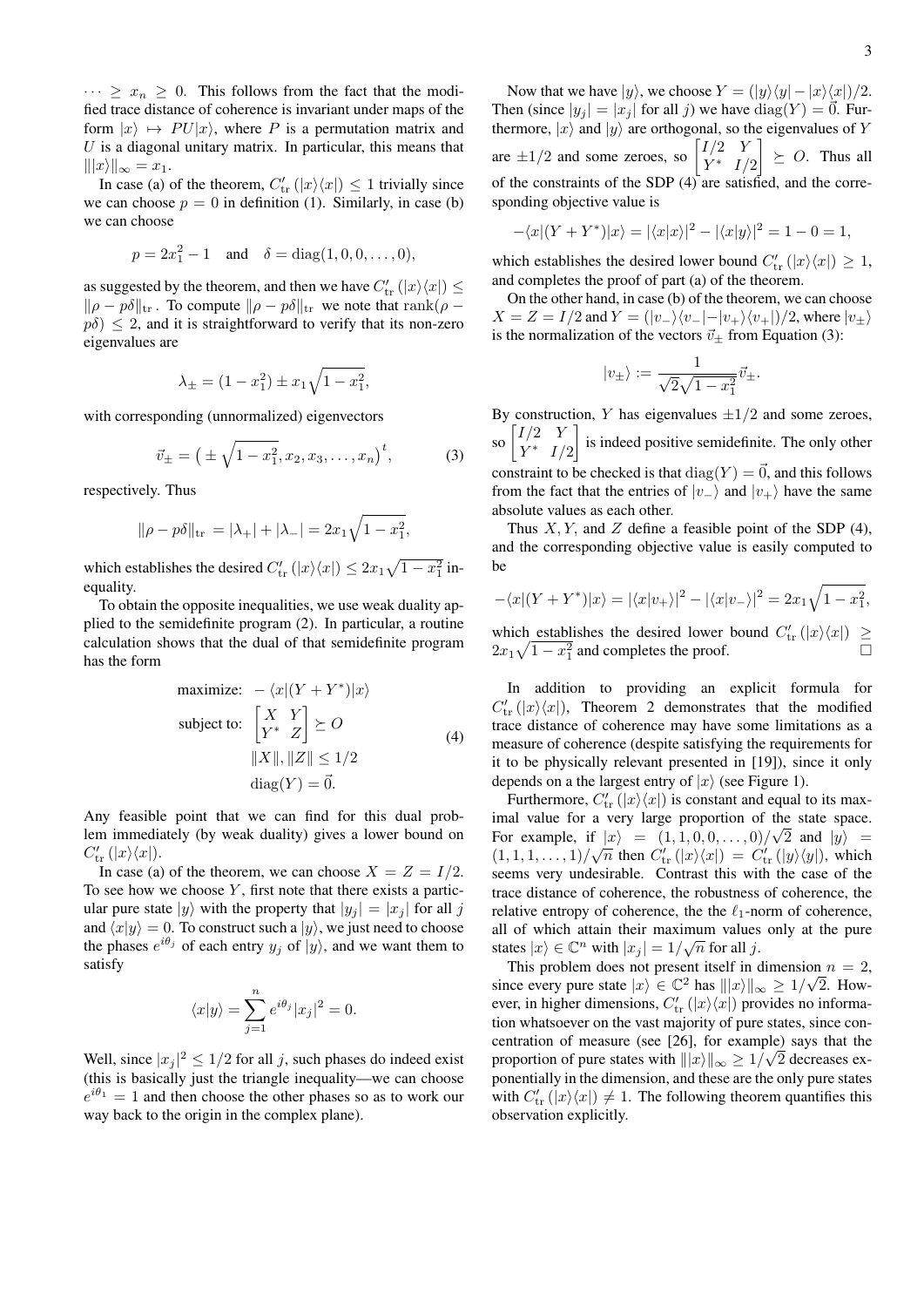$\cdots \geq x_n \geq 0$ . This follows from the fact that the modified trace distance of coherence is invariant under maps of the form  $|x\rangle \mapsto PU|x\rangle$ , where P is a permutation matrix and  $U$  is a diagonal unitary matrix. In particular, this means that  $||x\rangle||_{\infty} = x_1.$ 

In case (a) of the theorem,  $C'_{tr}(|x\rangle\langle x|) \leq 1$  trivially since we can choose  $p = 0$  in definition (1). Similarly, in case (b) we can choose

$$
p = 2x_1^2 - 1
$$
 and  $\delta = diag(1, 0, 0, ..., 0),$ 

as suggested by the theorem, and then we have  $C'_{\text{tr}}(|x\rangle\langle x|) \leq$  $\|\rho - p\delta\|_{\text{tr}}$ . To compute  $\|\rho - p\delta\|_{\text{tr}}$  we note that rank( $\rho$  –  $p\delta$ )  $\leq$  2, and it is straightforward to verify that its non-zero eigenvalues are

$$
\lambda_{\pm} = (1 - x_1^2) \pm x_1 \sqrt{1 - x_1^2},
$$

with corresponding (unnormalized) eigenvectors

$$
\vec{v}_{\pm} = \left( \pm \sqrt{1 - x_1^2}, x_2, x_3, \dots, x_n \right)^t, \tag{3}
$$

respectively. Thus

$$
\|\rho - p\delta\|_{\text{tr}} = |\lambda_+| + |\lambda_-| = 2x_1\sqrt{1 - x_1^2},
$$

which establishes the desired  $C'_{tr}(|x\rangle\langle x|) \leq 2x_1\sqrt{1-x_1^2}$  inequality.

To obtain the opposite inequalities, we use weak duality applied to the semidefinite program (2). In particular, a routine calculation shows that the dual of that semidefinite program has the form

maximize: 
$$
-\langle x | (Y + Y^*) | x \rangle
$$
  
\nsubject to:  $\begin{bmatrix} X & Y \\ Y^* & Z \end{bmatrix} \succeq O$   
\n $||X||, ||Z|| \le 1/2$   
\n $diag(Y) = \vec{0}.$  (4)

Any feasible point that we can find for this dual problem immediately (by weak duality) gives a lower bound on  $C'_{\text{tr}}(|x\rangle\langle x|)$ .

In case (a) of the theorem, we can choose  $X = Z = I/2$ . To see how we choose  $Y$ , first note that there exists a particular pure state  $|y\rangle$  with the property that  $|y_i| = |x_i|$  for all j and  $\langle x|y \rangle = 0$ . To construct such a  $|y\rangle$ , we just need to choose the phases  $e^{i\theta_j}$  of each entry  $y_j$  of  $|y\rangle$ , and we want them to satisfy

$$
\langle x|y\rangle = \sum_{j=1}^{n} e^{i\theta_j} |x_j|^2 = 0.
$$

Well, since  $|x_j|^2 \leq 1/2$  for all j, such phases do indeed exist (this is basically just the triangle inequality—we can choose  $e^{i\theta_1} = 1$  and then choose the other phases so as to work our way back to the origin in the complex plane).

Now that we have  $|y\rangle$ , we choose  $Y = (|y\rangle\langle y| - |x\rangle\langle x|)/2$ . Then (since  $|y_j| = |x_j|$  for all j) we have  $\text{diag}(Y) = \vec{0}$ . Furthermore,  $|x\rangle$  and  $|y\rangle$  are orthogonal, so the eigenvalues of Y are  $\pm 1/2$  and some zeroes, so  $\begin{bmatrix} I/2 & Y \\ Y^* & I \end{bmatrix}$  $Y^*$   $I/2$  $\Big] \geq O$ . Thus all of the constraints of the SDP (4) are satisfied, and the corresponding objective value is

$$
-\langle x|(Y+Y^*)|x\rangle = |\langle x|x\rangle|^2 - |\langle x|y\rangle|^2 = 1 - 0 = 1,
$$

which establishes the desired lower bound  $C'_{tr}(|x\rangle\langle x|) \geq 1$ , and completes the proof of part (a) of the theorem.

On the other hand, in case (b) of the theorem, we can choose  $X = Z = I/2$  and  $Y = (|v_-\rangle\langle v_-| - |v_+\rangle\langle v_+|)/2$ , where  $|v_+\rangle$ is the normalization of the vectors  $\vec{v}_{\pm}$  from Equation (3):

$$
|v_{\pm}\rangle:=\frac{1}{\sqrt{2}\sqrt{1-x_1^2}}\vec{v}_{\pm}.
$$

By construction, Y has eigenvalues  $\pm 1/2$  and some zeroes, so  $\begin{bmatrix} I/2 & Y \\ V^* & I \end{bmatrix}$  $Y^*$   $I/2$  is indeed positive semidefinite. The only other constraint to be checked is that  $\text{diag}(Y) = \vec{0}$ , and this follows from the fact that the entries of  $|v_+\rangle$  and  $|v_+\rangle$  have the same absolute values as each other.

Thus  $X, Y$ , and  $Z$  define a feasible point of the SDP (4), and the corresponding objective value is easily computed to be

$$
-\langle x|(Y+Y^*)|x\rangle = |\langle x|v_{+}\rangle|^{2} - |\langle x|v_{-}\rangle|^{2} = 2x_{1}\sqrt{1-x_{1}^{2}},
$$

which establishes the desired lower bound  $C'_{tr}(|x\rangle\langle x|) \ge$  $2x_1\sqrt{1-x_1^2}$  and completes the proof.

In addition to providing an explicit formula for  $C'_{tr}(|x\rangle\langle x|)$ , Theorem 2 demonstrates that the modified trace distance of coherence may have some limitations as a measure of coherence (despite satisfying the requirements for it to be physically relevant presented in [19]), since it only depends on a the largest entry of  $|x\rangle$  (see Figure 1).

Furthermore,  $C'_{tr}(|x\rangle\langle x|)$  is constant and equal to its maximal value for a very large proportion of the state space. For example, if  $|x\rangle = (1, 1, 0, 0, \ldots, 0)/\sqrt{2}$  and  $|y\rangle = (1, 1, 1, 0, 0, \ldots, 0)/\sqrt{2}$  $(1, 1, 1, \ldots, 1)/\sqrt{n}$  then  $C'_{tr}(|x\rangle\langle x|) = C'_{tr}(|y\rangle\langle y|)$ , which seems very undesirable. Contrast this with the case of the trace distance of coherence, the robustness of coherence, the relative entropy of coherence, the the  $\ell_1$ -norm of coherence, all of which attain their maximum values only at the pure states  $|x\rangle \in \mathbb{C}^n$  with  $|x_j| = 1/\sqrt{n}$  for all j.

This problem does not present itself in dimension  $n = 2$ , since every pure state  $|x\rangle \in \mathbb{C}^2$  has  $|||x\rangle||_{\infty} \ge 1/\sqrt{2}$ . However, in higher dimensions,  $C'_{tr}(|x\rangle\langle x|)$  provides no information whatsoever on the vast majority of pure states, since concentration of measure (see [26], for example) says that the proportion of pure states with  $||x\rangle||_{\infty} \ge 1/\sqrt{2}$  decreases exponentially in the dimension, and these are the only pure states with  $C'_{tr}(|x\rangle\langle x|) \neq 1$ . The following theorem quantifies this observation explicitly.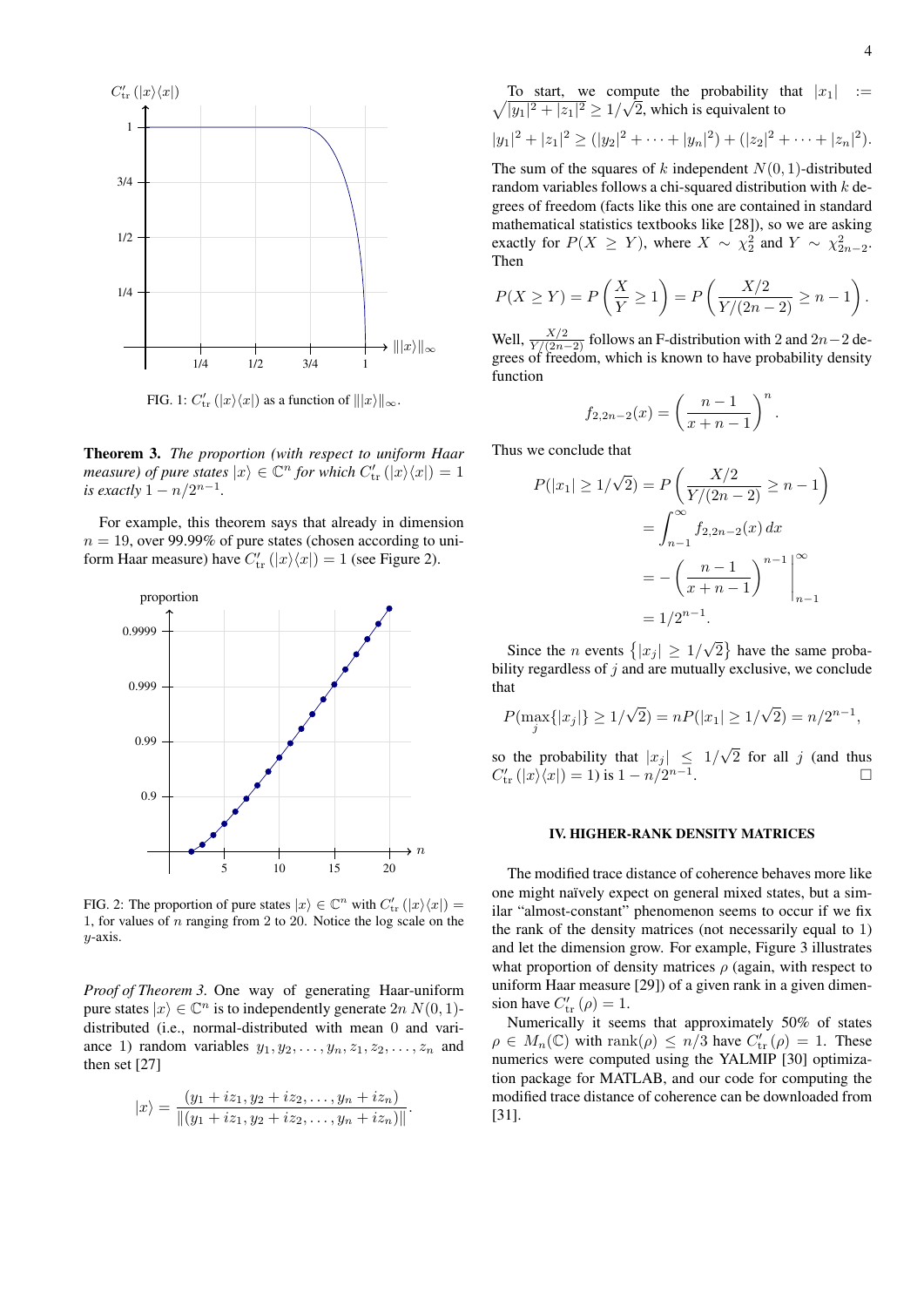

FIG. 1:  $C'_{tr}(|x\rangle\langle x|)$  as a function of  $|||x\rangle||_{\infty}$ .

Theorem 3. *The proportion (with respect to uniform Haar measure) of pure states*  $|x\rangle \in \mathbb{C}^n$  *for which*  $C'_{tr}(|x\rangle\langle x|) = 1$ *is exactly*  $1 - n/2^{n-1}$ *.* 

For example, this theorem says that already in dimension  $n = 19$ , over 99.99% of pure states (chosen according to uniform Haar measure) have  $C'_{tr}(|x\rangle\langle x|) = 1$  (see Figure 2).



FIG. 2: The proportion of pure states  $|x\rangle \in \mathbb{C}^n$  with  $C'_{tr}(|x\rangle\langle x|) =$ 1, for values of  $n$  ranging from 2 to 20. Notice the log scale on the y-axis.

*Proof of Theorem 3.* One way of generating Haar-uniform pure states  $|x\rangle \in \mathbb{C}^n$  is to independently generate  $2n N(0, 1)$ distributed (i.e., normal-distributed with mean 0 and variance 1) random variables  $y_1, y_2, \ldots, y_n, z_1, z_2, \ldots, z_n$  and then set [27]

$$
|x\rangle = \frac{(y_1 + iz_1, y_2 + iz_2, \dots, y_n + iz_n)}{\|(y_1 + iz_1, y_2 + iz_2, \dots, y_n + iz_n)\|}.
$$

 $\sqrt{|y_1|^2+|z_1|^2} \ge 1/\sqrt{2}$ , which is equivalent to To start, we compute the probability that  $|x_1|$  :=

$$
|y_1|^2 + |z_1|^2 \ge (|y_2|^2 + \cdots + |y_n|^2) + (|z_2|^2 + \cdots + |z_n|^2).
$$

The sum of the squares of k independent  $N(0, 1)$ -distributed random variables follows a chi-squared distribution with  $k$  degrees of freedom (facts like this one are contained in standard mathematical statistics textbooks like [28]), so we are asking exactly for  $P(X \ge Y)$ , where  $X \sim \chi_2^2$  and  $Y \sim \chi_{2n-2}^2$ . Then

$$
P(X \ge Y) = P\left(\frac{X}{Y} \ge 1\right) = P\left(\frac{X/2}{Y/(2n-2)} \ge n-1\right).
$$

Well,  $\frac{X/2}{Y/(2n-2)}$  follows an F-distribution with 2 and 2n – 2 degrees of freedom, which is known to have probability density function

$$
f_{2,2n-2}(x) = \left(\frac{n-1}{x+n-1}\right)^n.
$$

Thus we conclude that

$$
P(|x_1| \ge 1/\sqrt{2}) = P\left(\frac{X/2}{Y/(2n-2)} \ge n-1\right)
$$
  
= 
$$
\int_{n-1}^{\infty} f_{2,2n-2}(x) dx
$$
  
= 
$$
-\left(\frac{n-1}{x+n-1}\right)^{n-1} \Big|_{n-1}^{\infty}
$$
  
= 
$$
1/2^{n-1}.
$$

Since the *n* events  $\{|x_j| \geq 1/2\}$ √  $\overline{2}$  have the same probability regardless of  $j$  and are mutually exclusive, we conclude that

$$
P(\max_{j} \{|x_j|\} \ge 1/\sqrt{2}) = nP(|x_1| \ge 1/\sqrt{2}) = n/2^{n-1},
$$

so the probability that  $|x_j| \leq 1/2$ √ 2 for all  $j$  (and thus  $C'_{tr}(|x\rangle\langle x|) = 1$ ) is  $1 - n/2^{n-1}$ .

#### IV. HIGHER-RANK DENSITY MATRICES

The modified trace distance of coherence behaves more like one might naïvely expect on general mixed states, but a similar "almost-constant" phenomenon seems to occur if we fix the rank of the density matrices (not necessarily equal to 1) and let the dimension grow. For example, Figure 3 illustrates what proportion of density matrices  $\rho$  (again, with respect to uniform Haar measure [29]) of a given rank in a given dimension have  $C'_{tr}(\rho) = 1$ .

Numerically it seems that approximately 50% of states  $\rho \in M_n(\mathbb{C})$  with rank $(\rho) \leq n/3$  have  $C'_{tr}(\rho) = 1$ . These numerics were computed using the YALMIP [30] optimization package for MATLAB, and our code for computing the modified trace distance of coherence can be downloaded from [31].